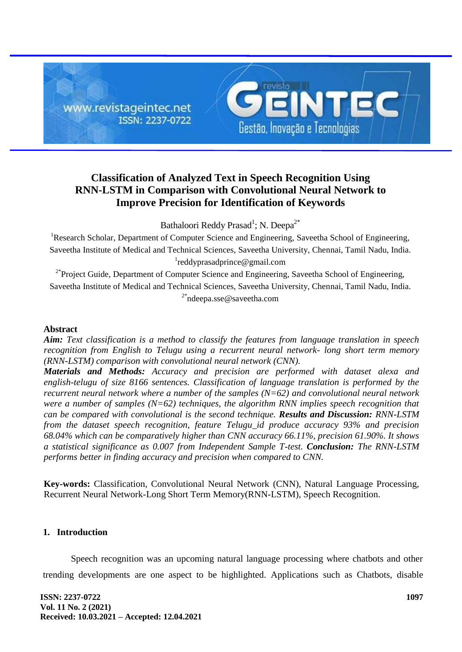

# **Classification of Analyzed Text in Speech Recognition Using RNN-LSTM in Comparison with Convolutional Neural Network to Improve Precision for Identification of Keywords**

Bathaloori Reddy Prasad<sup>1</sup>; N. Deepa<sup>2\*</sup>

<sup>1</sup>Research Scholar, Department of Computer Science and Engineering, Saveetha School of Engineering, Saveetha Institute of Medical and Technical Sciences, Saveetha University, Chennai, Tamil Nadu, India. 1 [reddyprasadprince@gmail.com](mailto:reddyprasadprince@gmail.com)

<sup>2\*</sup>Project Guide, Department of Computer Science and Engineering, Saveetha School of Engineering, Saveetha Institute of Medical and Technical Sciences, Saveetha University, Chennai, Tamil Nadu, India. <sup>2\*</sup>[ndeepa.sse@saveetha.com](mailto:ndeepa.sse@saveetha.com)

# **Abstract**

*Aim: Text classification is a method to classify the features from language translation in speech recognition from English to Telugu using a recurrent neural network- long short term memory (RNN-LSTM) comparison with convolutional neural network (CNN).*

*Materials and Methods: Accuracy and precision are performed with dataset alexa and english-telugu of size 8166 sentences. Classification of language translation is performed by the recurrent neural network where a number of the samples (N=62) and convolutional neural network were a number of samples (N=62) techniques, the algorithm RNN implies speech recognition that can be compared with convolutional is the second technique. Results and Discussion: RNN-LSTM from the dataset speech recognition, feature Telugu\_id produce accuracy 93% and precision 68.04% which can be comparatively higher than CNN accuracy 66.11%, precision 61.90%. It shows a statistical significance as 0.007 from Independent Sample T-test. Conclusion: The RNN-LSTM performs better in finding accuracy and precision when compared to CNN.*

**Key-words:** Classification, Convolutional Neural Network (CNN), Natural Language Processing, Recurrent Neural Network-Long Short Term Memory(RNN-LSTM), Speech Recognition.

# **1. Introduction**

Speech recognition was an upcoming natural language processing where chatbots and other trending developments are one aspect to be highlighted. Applications such as Chatbots, disable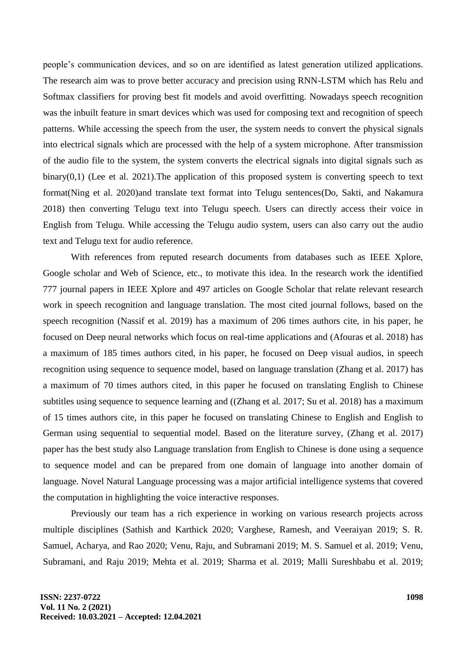people's communication devices, and so on are identified as latest generation utilized applications. The research aim was to prove better accuracy and precision using RNN-LSTM which has Relu and Softmax classifiers for proving best fit models and avoid overfitting. Nowadays speech recognition was the inbuilt feature in smart devices which was used for composing text and recognition of speech patterns. While accessing the speech from the user, the system needs to convert the physical signals into electrical signals which are processed with the help of a system microphone. After transmission of the audio file to the system, the system converts the electrical signals into digital signals such as binary $(0,1)$  [\(Lee et al. 2021\).](https://paperpile.com/c/8AQ5aN/gDPc) The application of this proposed system is converting speech to text forma[t\(Ning et al. 2020\)a](https://paperpile.com/c/8AQ5aN/guN1)nd translate text format into Telugu sentence[s\(Do, Sakti, and Nakamura](https://paperpile.com/c/8AQ5aN/aXZQ)  [2018\)](https://paperpile.com/c/8AQ5aN/aXZQ) then converting Telugu text into Telugu speech. Users can directly access their voice in English from Telugu. While accessing the Telugu audio system, users can also carry out the audio text and Telugu text for audio reference.

With references from reputed research documents from databases such as IEEE Xplore, Google scholar and Web of Science, etc., to motivate this idea. In the research work the identified 777 journal papers in IEEE Xplore and 497 articles on Google Scholar that relate relevant research work in speech recognition and language translation. The most cited journal follows, based on the speech recognition [\(Nassif et al. 2019\)](https://paperpile.com/c/8AQ5aN/q64L) has a maximum of 206 times authors cite, in his paper, he focused on Deep neural networks which focus on real-time applications and [\(Afouras et al. 2018\)](https://paperpile.com/c/8AQ5aN/nTbV) has a maximum of 185 times authors cited, in his paper, he focused on Deep visual audios, in speech recognition using sequence to sequence model, based on language translation [\(Zhang et al. 2017\)](https://paperpile.com/c/8AQ5aN/o71U) has a maximum of 70 times authors cited, in this paper he focused on translating English to Chinese subtitles using sequence to sequence learning and [\(\(Zhang et al. 2017; Su et al. 2018\)](https://paperpile.com/c/8AQ5aN/o71U+chad) has a maximum of 15 times authors cite, in this paper he focused on translating Chinese to English and English to German using sequential to sequential model. Based on the literature survey, [\(Zhang et al. 2017\)](https://paperpile.com/c/8AQ5aN/o71U) paper has the best study also Language translation from English to Chinese is done using a sequence to sequence model and can be prepared from one domain of language into another domain of language. Novel Natural Language processing was a major artificial intelligence systems that covered the computation in highlighting the voice interactive responses.

Previously our team has a rich experience in working on various research projects across multiple disciplines [\(Sathish and Karthick 2020; Varghese, Ramesh, and Veeraiyan 2019; S. R.](https://paperpile.com/c/8AQ5aN/8i2mQ+hcPIR+DLGfF+MQ90j+Ooe1V+NLmzy+BwrKE+V4jc6+0o6cN+7tEv6+VSsXs+BAs0B+GtW4x+cUIaO+sLF8S+igb1p)  [Samuel, Acharya, and Rao 2020; Venu, Raju, and Subramani 2019; M. S. Samuel et al. 2019; Venu,](https://paperpile.com/c/8AQ5aN/8i2mQ+hcPIR+DLGfF+MQ90j+Ooe1V+NLmzy+BwrKE+V4jc6+0o6cN+7tEv6+VSsXs+BAs0B+GtW4x+cUIaO+sLF8S+igb1p)  [Subramani, and Raju 2019; Mehta et al. 2019; Sharma et al. 2019; Malli Sureshbabu et al. 2019;](https://paperpile.com/c/8AQ5aN/8i2mQ+hcPIR+DLGfF+MQ90j+Ooe1V+NLmzy+BwrKE+V4jc6+0o6cN+7tEv6+VSsXs+BAs0B+GtW4x+cUIaO+sLF8S+igb1p)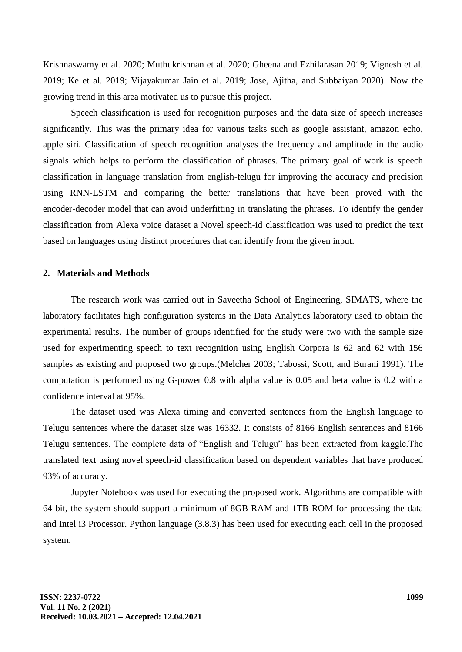[Krishnaswamy et al. 2020; Muthukrishnan et al. 2020; Gheena and Ezhilarasan 2019; Vignesh et al.](https://paperpile.com/c/8AQ5aN/8i2mQ+hcPIR+DLGfF+MQ90j+Ooe1V+NLmzy+BwrKE+V4jc6+0o6cN+7tEv6+VSsXs+BAs0B+GtW4x+cUIaO+sLF8S+igb1p)  [2019; Ke et al. 2019; Vijayakumar Jain et al. 2019; Jose, Ajitha, and Subbaiyan 2020\).](https://paperpile.com/c/8AQ5aN/8i2mQ+hcPIR+DLGfF+MQ90j+Ooe1V+NLmzy+BwrKE+V4jc6+0o6cN+7tEv6+VSsXs+BAs0B+GtW4x+cUIaO+sLF8S+igb1p) Now the growing trend in this area motivated us to pursue this project.

Speech classification is used for recognition purposes and the data size of speech increases significantly. This was the primary idea for various tasks such as google assistant, amazon echo, apple siri. Classification of speech recognition analyses the frequency and amplitude in the audio signals which helps to perform the classification of phrases. The primary goal of work is speech classification in language translation from english-telugu for improving the accuracy and precision using RNN-LSTM and comparing the better translations that have been proved with the encoder-decoder model that can avoid underfitting in translating the phrases. To identify the gender classification from Alexa voice dataset a Novel speech-id classification was used to predict the text based on languages using distinct procedures that can identify from the given input.

#### **2. Materials and Methods**

The research work was carried out in Saveetha School of Engineering, SIMATS, where the laboratory facilitates high configuration systems in the Data Analytics laboratory used to obtain the experimental results. The number of groups identified for the study were two with the sample size used for experimenting speech to text recognition using English Corpora is 62 and 62 with 156 samples as existing and proposed two groups[.\(Melcher 2003; Tabossi, Scott, and Burani 1991\).](https://paperpile.com/c/8AQ5aN/Sv8K+AWt9) The computation is performed using G-power 0.8 with alpha value is 0.05 and beta value is 0.2 with a confidence interval at 95%.

The dataset used was Alexa timing and converted sentences from the English language to Telugu sentences where the dataset size was 16332. It consists of 8166 English sentences and 8166 Telugu sentences. The complete data of "English and Telugu" has been extracted from kaggle.The translated text using novel speech-id classification based on dependent variables that have produced 93% of accuracy.

Jupyter Notebook was used for executing the proposed work. Algorithms are compatible with 64-bit, the system should support a minimum of 8GB RAM and 1TB ROM for processing the data and Intel i3 Processor. Python language (3.8.3) has been used for executing each cell in the proposed system.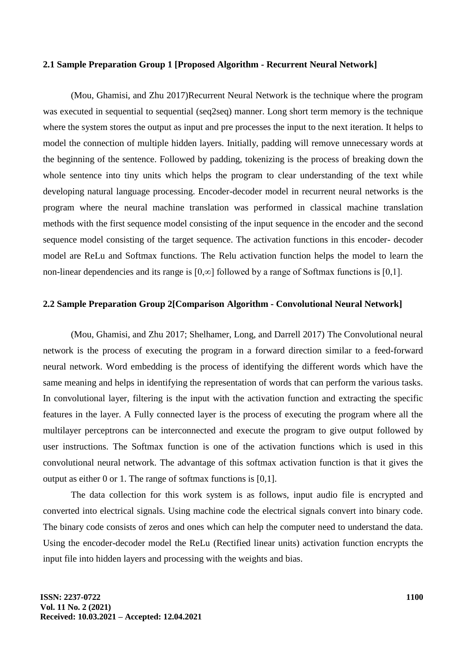#### **2.1 Sample Preparation Group 1 [Proposed Algorithm - Recurrent Neural Network]**

[\(Mou, Ghamisi, and Zhu 2017\)R](https://paperpile.com/c/8AQ5aN/limC)ecurrent Neural Network is the technique where the program was executed in sequential to sequential (seq2seq) manner. Long short term memory is the technique where the system stores the output as input and pre processes the input to the next iteration. It helps to model the connection of multiple hidden layers. Initially, padding will remove unnecessary words at the beginning of the sentence. Followed by padding, tokenizing is the process of breaking down the whole sentence into tiny units which helps the program to clear understanding of the text while developing natural language processing. Encoder-decoder model in recurrent neural networks is the program where the neural machine translation was performed in classical machine translation methods with the first sequence model consisting of the input sequence in the encoder and the second sequence model consisting of the target sequence. The activation functions in this encoder- decoder model are ReLu and Softmax functions. The Relu activation function helps the model to learn the non-linear dependencies and its range is [0,∞] followed by a range of Softmax functions is [0,1].

#### **2.2 Sample Preparation Group 2[Comparison Algorithm - Convolutional Neural Network]**

[\(Mou, Ghamisi, and Zhu 2017; Shelhamer, Long, and Darrell 2017\)](https://paperpile.com/c/8AQ5aN/limC+1eFv) The Convolutional neural network is the process of executing the program in a forward direction similar to a feed-forward neural network. Word embedding is the process of identifying the different words which have the same meaning and helps in identifying the representation of words that can perform the various tasks. In convolutional layer, filtering is the input with the activation function and extracting the specific features in the layer. A Fully connected layer is the process of executing the program where all the multilayer perceptrons can be interconnected and execute the program to give output followed by user instructions. The Softmax function is one of the activation functions which is used in this convolutional neural network. The advantage of this softmax activation function is that it gives the output as either 0 or 1. The range of softmax functions is [0,1].

The data collection for this work system is as follows, input audio file is encrypted and converted into electrical signals. Using machine code the electrical signals convert into binary code. The binary code consists of zeros and ones which can help the computer need to understand the data. Using the encoder-decoder model the ReLu (Rectified linear units) activation function encrypts the input file into hidden layers and processing with the weights and bias.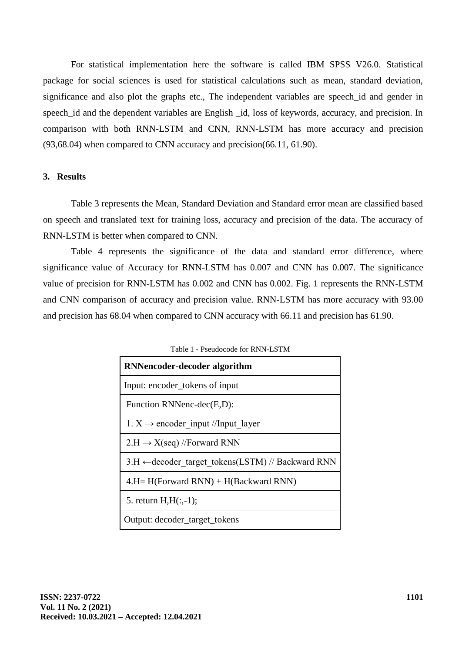For statistical implementation here the software is called IBM SPSS V26.0. Statistical package for social sciences is used for statistical calculations such as mean, standard deviation, significance and also plot the graphs etc., The independent variables are speech\_id and gender in speech\_id and the dependent variables are English \_id, loss of keywords, accuracy, and precision. In comparison with both RNN-LSTM and CNN, RNN-LSTM has more accuracy and precision (93,68.04) when compared to CNN accuracy and precision(66.11, 61.90).

# **3. Results**

Table 3 represents the Mean, Standard Deviation and Standard error mean are classified based on speech and translated text for training loss, accuracy and precision of the data. The accuracy of RNN-LSTM is better when compared to CNN.

Table 4 represents the significance of the data and standard error difference, where significance value of Accuracy for RNN-LSTM has 0.007 and CNN has 0.007. The significance value of precision for RNN-LSTM has 0.002 and CNN has 0.002. Fig. 1 represents the RNN-LSTM and CNN comparison of accuracy and precision value. RNN-LSTM has more accuracy with 93.00 and precision has 68.04 when compared to CNN accuracy with 66.11 and precision has 61.90.

| <b>RNNencoder-decoder algorithm</b>                          |  |  |  |  |  |  |
|--------------------------------------------------------------|--|--|--|--|--|--|
| Input: encoder_tokens of input                               |  |  |  |  |  |  |
| Function RNNenc-dec(E,D):                                    |  |  |  |  |  |  |
| 1. $X \rightarrow$ encoder input //Input layer               |  |  |  |  |  |  |
| $2.H \rightarrow X(\text{seq})$ //Forward RNN                |  |  |  |  |  |  |
| $3.H \leftarrow$ decoder target tokens(LSTM) // Backward RNN |  |  |  |  |  |  |
| $4.H=H(Forward RNN) + H(Backward RNN)$                       |  |  |  |  |  |  |
| 5. return $H,H(:,-1);$                                       |  |  |  |  |  |  |
| Output: decoder_target_tokens                                |  |  |  |  |  |  |

Table 1 - Pseudocode for RNN-LSTM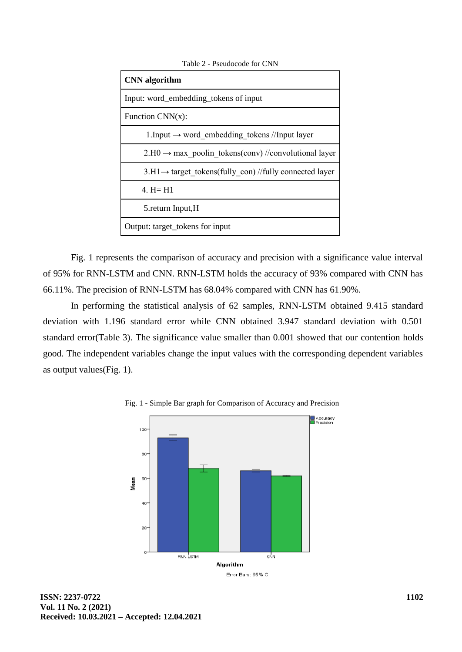| <b>CNN</b> algorithm                                                   |
|------------------------------------------------------------------------|
| Input: word_embedding_tokens of input                                  |
| Function $CNN(x)$ :                                                    |
| 1. Input $\rightarrow$ word embedding tokens //Input layer             |
| $2.H0 \rightarrow \text{max}$ poolin tokens(conv)//convolutional layer |
| $3.H1 \rightarrow$ target tokens(fully con) //fully connected layer    |
| 4. $H = H1$                                                            |
| 5.return Input, H                                                      |
| Output: target_tokens for input                                        |

Table 2 - Pseudocode for CNN

Fig. 1 represents the comparison of accuracy and precision with a significance value interval of 95% for RNN-LSTM and CNN. RNN-LSTM holds the accuracy of 93% compared with CNN has 66.11%. The precision of RNN-LSTM has 68.04% compared with CNN has 61.90%.

In performing the statistical analysis of 62 samples, RNN-LSTM obtained 9.415 standard deviation with 1.196 standard error while CNN obtained 3.947 standard deviation with 0.501 standard error(Table 3). The significance value smaller than 0.001 showed that our contention holds good. The independent variables change the input values with the corresponding dependent variables as output values(Fig. 1).



Fig. 1 - Simple Bar graph for Comparison of Accuracy and Precision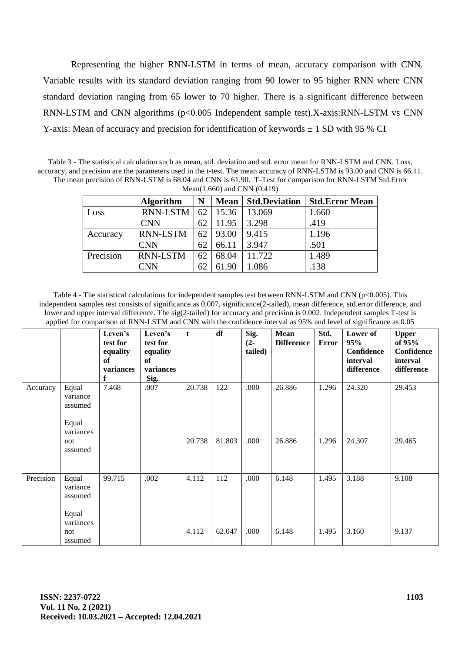Representing the higher RNN-LSTM in terms of mean, accuracy comparison with CNN. Variable results with its standard deviation ranging from 90 lower to 95 higher RNN where CNN standard deviation ranging from 65 lower to 70 higher. There is a significant difference between RNN-LSTM and CNN algorithms  $(p<0.005$  Independent sample test).X-axis:RNN-LSTM vs CNN Y-axis: Mean of accuracy and precision for identification of keywords  $\pm$  1 SD with 95 % CI

Table 3 - The statistical calculation such as mean, std. deviation and std. error mean for RNN-LSTM and CNN. Loss, accuracy, and precision are the parameters used in the t-test. The mean accuracy of RNN-LSTM is 93.00 and CNN is 66.11. The mean precision of RNN-LSTM is 68.04 and CNN is 61.90. T-Test for comparison for RNN-LSTM Std.Error Mean(1.660) and CNN (0.419)

| $1.100011$ , $1.00001$ , $0.0101$ , $0.00111$ , $0.00111$ |                  |    |             |                      |                       |  |  |  |  |  |
|-----------------------------------------------------------|------------------|----|-------------|----------------------|-----------------------|--|--|--|--|--|
|                                                           | <b>Algorithm</b> | N  | <b>Mean</b> | <b>Std.Deviation</b> | <b>Std.Error Mean</b> |  |  |  |  |  |
| Loss                                                      | <b>RNN-LSTM</b>  | 62 | 15.36       | 13.069               | 1.660                 |  |  |  |  |  |
|                                                           | <b>CNN</b>       | 62 | 11.95       | 3.298                | .419                  |  |  |  |  |  |
| Accuracy                                                  | <b>RNN-LSTM</b>  | 62 | 93.00       | 9.415                | 1.196                 |  |  |  |  |  |
|                                                           | <b>CNN</b>       | 62 | 66.11       | 3.947                | .501                  |  |  |  |  |  |
| Precision                                                 | <b>RNN-LSTM</b>  | 62 | 68.04       | 11.722               | 1.489                 |  |  |  |  |  |
|                                                           | CNN              | 62 | 61.90       | 1.086                | .138                  |  |  |  |  |  |

Table 4 - The statistical calculations for independent samples test between RNN-LSTM and CNN (p<0.005). This independent samples test consists of significance as 0.007, significance(2-tailed), mean difference, std.error difference, and lower and upper interval difference. The sig(2-tailed) for accuracy and precision is 0.002. Independent samples T-test is applied for comparison of RNN-LSTM and CNN with the confidence interval as 95% and level of significance as 0.05

|           |                                      | Leven's<br>test for<br>equality<br>of<br>variances<br>f | Leven's<br>test for<br>equality<br>of<br>variances<br>Sig. | t      | df     | Sig.<br>$(2 -$<br>tailed) | Mean<br><b>Difference</b> | Std.<br><b>Error</b> | Lower of<br>95%<br>Confidence<br>interval<br>difference | <b>Upper</b><br>of 95%<br>Confidence<br>interval<br>difference |
|-----------|--------------------------------------|---------------------------------------------------------|------------------------------------------------------------|--------|--------|---------------------------|---------------------------|----------------------|---------------------------------------------------------|----------------------------------------------------------------|
| Accuracy  | Equal<br>variance<br>assumed         | 7.468                                                   | .007                                                       | 20.738 | 122    | .000                      | 26.886                    | 1.296                | 24.320                                                  | 29.453                                                         |
|           | Equal<br>variances<br>not<br>assumed |                                                         |                                                            | 20.738 | 81.803 | .000                      | 26.886                    | 1.296                | 24.307                                                  | 29.465                                                         |
| Precision | Equal<br>variance<br>assumed         | 99.715                                                  | .002                                                       | 4.112  | 112    | .000                      | 6.148                     | 1.495                | 3.188                                                   | 9.108                                                          |
|           | Equal<br>variances<br>not<br>assumed |                                                         |                                                            | 4.112  | 62.047 | .000                      | 6.148                     | 1.495                | 3.160                                                   | 9.137                                                          |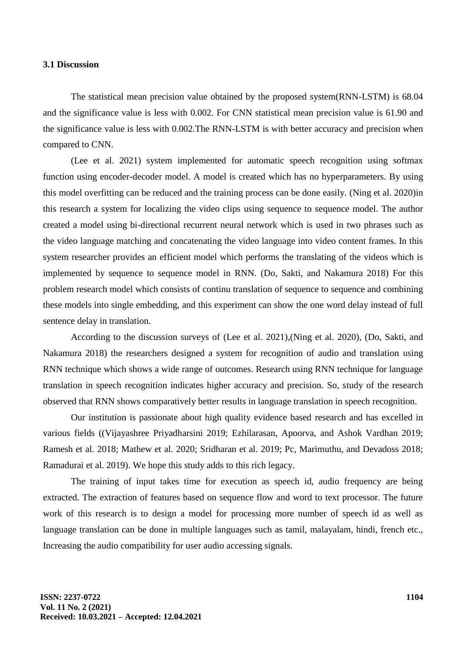#### **3.1 Discussion**

The statistical mean precision value obtained by the proposed system(RNN-LSTM) is 68.04 and the significance value is less with 0.002. For CNN statistical mean precision value is 61.90 and the significance value is less with 0.002.The RNN-LSTM is with better accuracy and precision when compared to CNN.

[\(Lee et al. 2021\)](https://paperpile.com/c/8AQ5aN/gDPc) system implemented for automatic speech recognition using softmax function using encoder-decoder model. A model is created which has no hyperparameters. By using this model overfitting can be reduced and the training process can be done easily. [\(Ning et al. 2020\)i](https://paperpile.com/c/8AQ5aN/guN1)n this research a system for localizing the video clips using sequence to sequence model. The author created a model using bi-directional recurrent neural network which is used in two phrases such as the video language matching and concatenating the video language into video content frames. In this system researcher provides an efficient model which performs the translating of the videos which is implemented by sequence to sequence model in RNN. [\(Do, Sakti, and Nakamura 2018\)](https://paperpile.com/c/8AQ5aN/aXZQ) For this problem research model which consists of continu translation of sequence to sequence and combining these models into single embedding, and this experiment can show the one word delay instead of full sentence delay in translation.

According to the discussion surveys of [\(Lee et al. 2021\),](https://paperpile.com/c/8AQ5aN/gDPc)[\(Ning et al. 2020\),](https://paperpile.com/c/8AQ5aN/guN1) [\(Do, Sakti, and](https://paperpile.com/c/8AQ5aN/aXZQ)  [Nakamura 2018\)](https://paperpile.com/c/8AQ5aN/aXZQ) the researchers designed a system for recognition of audio and translation using RNN technique which shows a wide range of outcomes. Research using RNN technique for language translation in speech recognition indicates higher accuracy and precision. So, study of the research observed that RNN shows comparatively better results in language translation in speech recognition.

Our institution is passionate about high quality evidence based research and has excelled in various fields [\(\(Vijayashree Priyadharsini 2019; Ezhilarasan, Apoorva, and Ashok Vardhan 2019;](https://paperpile.com/c/8AQ5aN/BnpQd+gZQ5g+wBf5L+qRw4H+Dx6fI+MzAtL+8Zc29)  [Ramesh et al. 2018; Mathew et al. 2020; Sridharan et al. 2019; Pc, Marimuthu, and Devadoss 2018;](https://paperpile.com/c/8AQ5aN/BnpQd+gZQ5g+wBf5L+qRw4H+Dx6fI+MzAtL+8Zc29)  [Ramadurai et al. 2019\).](https://paperpile.com/c/8AQ5aN/BnpQd+gZQ5g+wBf5L+qRw4H+Dx6fI+MzAtL+8Zc29) We hope this study adds to this rich legacy.

The training of input takes time for execution as speech id, audio frequency are being extracted. The extraction of features based on sequence flow and word to text processor. The future work of this research is to design a model for processing more number of speech id as well as language translation can be done in multiple languages such as tamil, malayalam, hindi, french etc., Increasing the audio compatibility for user audio accessing signals.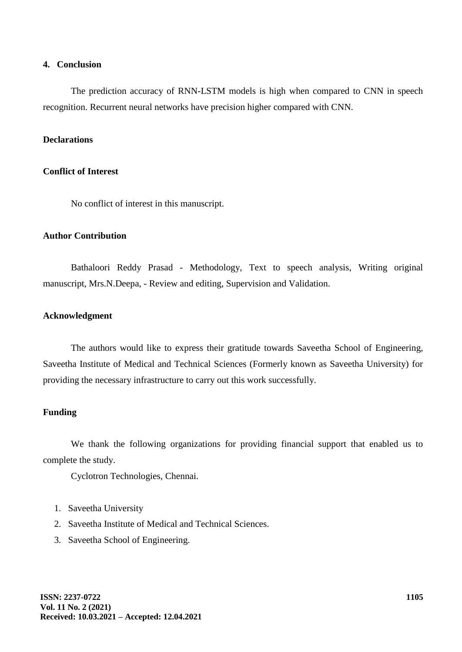## **4. Conclusion**

The prediction accuracy of RNN-LSTM models is high when compared to CNN in speech recognition. Recurrent neural networks have precision higher compared with CNN.

## **Declarations**

#### **Conflict of Interest**

No conflict of interest in this manuscript.

## **Author Contribution**

Bathaloori Reddy Prasad - Methodology, Text to speech analysis, Writing original manuscript, Mrs.N.Deepa, - Review and editing, Supervision and Validation.

#### **Acknowledgment**

The authors would like to express their gratitude towards Saveetha School of Engineering, Saveetha Institute of Medical and Technical Sciences (Formerly known as Saveetha University) for providing the necessary infrastructure to carry out this work successfully.

## **Funding**

We thank the following organizations for providing financial support that enabled us to complete the study.

Cyclotron Technologies, Chennai.

- 1. Saveetha University
- 2. Saveetha Institute of Medical and Technical Sciences.
- 3. Saveetha School of Engineering.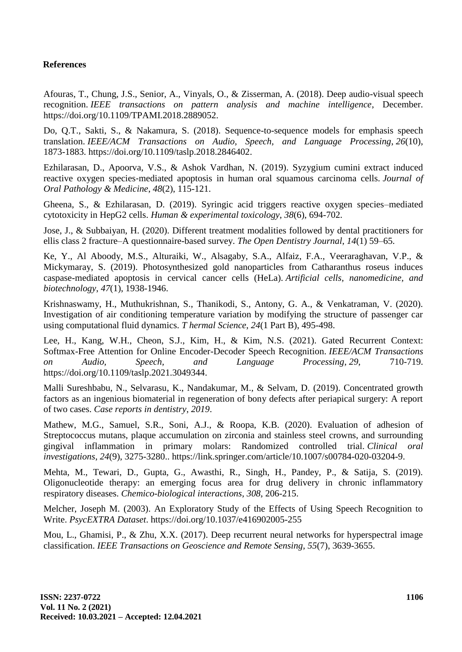# **References**

Afouras, T., Chung, J.S., Senior, A., Vinyals, O., & Zisserman, A. (2018). Deep audio-visual speech recognition. *IEEE transactions on pattern analysis and machine intelligence*[, December.](http://paperpile.com/b/8AQ5aN/nTbV)  [https://doi.org/](http://paperpile.com/b/8AQ5aN/nTbV)[10.1109/TPAMI.2018.2889052.](http://dx.doi.org/10.1109/TPAMI.2018.2889052)

Do, Q.T., Sakti, S., & Nakamura, S. (2018). Sequence-to-sequence models for emphasis speech translation. *IEEE/ACM Transactions on Audio, Speech, and Language Processing*, *26*(10), 1873-1883. [https://doi.org/10.1109/taslp.2018.2846402](https://doi.org/)[.](http://paperpile.com/b/8AQ5aN/aXZQ)

Ezhilarasan, D., Apoorva, V.S., & Ashok Vardhan, N. (2019). Syzygium cumini extract induced reactive oxygen species‐mediated apoptosis in human oral squamous carcinoma cells. *Journal of Oral Pathology & Medicine*, *48*(2), 115-121.

Gheena, S., & Ezhilarasan, D. (2019). Syringic acid triggers reactive oxygen species–mediated cytotoxicity in HepG2 cells. *Human & experimental toxicology*, *38*(6), 694-702.

Jose, J., & Subbaiyan, H. (2020). Different treatment modalities followed by dental practitioners for ellis class 2 fracture–A questionnaire-based survey. *The Open Dentistry Journal*, *14*(1) [59–65.](http://paperpile.com/b/8AQ5aN/igb1p)

Ke, Y., Al Aboody, M.S., Alturaiki, W., Alsagaby, S.A., Alfaiz, F.A., Veeraraghavan, V.P., & Mickymaray, S. (2019). Photosynthesized gold nanoparticles from Catharanthus roseus induces caspase-mediated apoptosis in cervical cancer cells (HeLa). *Artificial cells, nanomedicine, and biotechnology*, *47*(1), 1938-1946.

Krishnaswamy, H., Muthukrishnan, S., Thanikodi, S., Antony, G. A., & Venkatraman, V. (2020). Investigation of air conditioning temperature variation by modifying the structure of passenger car using computational fluid dynamics. *T hermal Science*, *24*(1 Part B), 495-498.

Lee, H., Kang, W.H., Cheon, S.J., Kim, H., & Kim, N.S. (2021). Gated Recurrent Context: Softmax-Free Attention for Online Encoder-Decoder Speech Recognition. *IEEE/ACM Transactions on Audio, Speech, and Language Processing*, *29*, 710-71[9.](http://paperpile.com/b/8AQ5aN/gDPc)  [https://doi.org/](http://paperpile.com/b/8AQ5aN/gDPc)[10.1109/taslp.2021.3049344.](http://dx.doi.org/10.1109/taslp.2021.3049344)

Malli Sureshbabu, N., Selvarasu, K., Nandakumar, M., & Selvam, D. (2019). Concentrated growth factors as an ingenious biomaterial in regeneration of bony defects after periapical surgery: A report of two cases. *Case reports in dentistry*, *2019*.

Mathew, M.G., Samuel, S.R., Soni, A.J., & Roopa, K.B. (2020). Evaluation of adhesion of Streptococcus mutans, plaque accumulation on zirconia and stainless steel crowns, and surrounding gingival inflammation in primary molars: Randomized controlled trial. *Clinical oral investigations*, *24*(9), 3275-3280[.. https://link.springer.com/article/10.1007/s00784-020-03204-9.](http://paperpile.com/b/8AQ5aN/qRw4H)

Mehta, M., Tewari, D., Gupta, G., Awasthi, R., Singh, H., Pandey, P., & Satija, S. (2019). Oligonucleotide therapy: an emerging focus area for drug delivery in chronic inflammatory respiratory diseases. *Chemico-biological interactions*, *308*, 206-215.

[Melcher, Joseph M. \(2003\). An Exploratory Study of the Effects of Using Speech Recognition to](Melcher,%20Joseph%20M.%20(2003).%20An%20Exploratory%20Study%20of%20the%20Effects%20of%20Using%20Speech%20Recognition%20to%20Write.%20)  [Write.](Melcher,%20Joseph%20M.%20(2003).%20An%20Exploratory%20Study%20of%20the%20Effects%20of%20Using%20Speech%20Recognition%20to%20Write.%20) *[PsycEXTRA Dataset](http://paperpile.com/b/8AQ5aN/Sv8K)*[. https://doi.org/](http://paperpile.com/b/8AQ5aN/Sv8K)[10.1037/e416902005-255](http://dx.doi.org/10.1037/e416902005-255)

Mou, L., Ghamisi, P., & Zhu, X.X. (2017). Deep recurrent neural networks for hyperspectral image classification. *IEEE Transactions on Geoscience and Remote Sensing*, *55*(7), 3639-3655.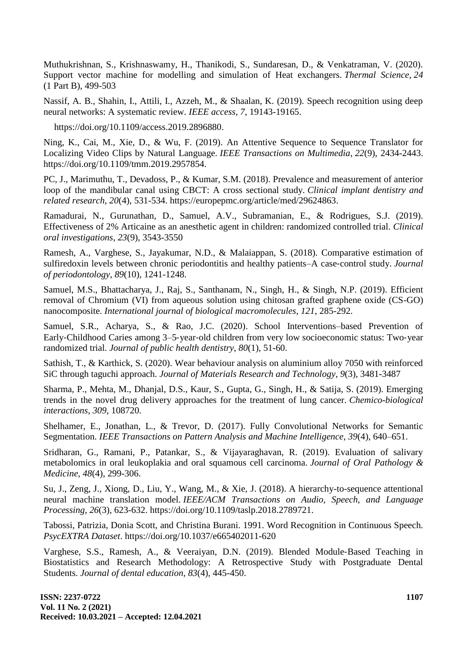Muthukrishnan, S., Krishnaswamy, H., Thanikodi, S., Sundaresan, D., & Venkatraman, V. (2020). Support vector machine for modelling and simulation of Heat exchangers. *Thermal Science*, *24*  (1 Part B), 499-503

Nassif, A. B., Shahin, I., Attili, I., Azzeh, M., & Shaalan, K. (2019). Speech recognition using deep neural networks: A systematic review. *IEEE access, 7*, 19143-19165.

https://doi.org/10.1109/access.2019.289688[0.](http://paperpile.com/b/8AQ5aN/q64L)

Ning, K., Cai, M., Xie, D., & Wu, F. (2019). An Attentive Sequence to Sequence Translator for Localizing Video Clips by Natural Language. *IEEE Transactions on Multimedia*, *22*(9), 2434-244[3.](http://paperpile.com/b/8AQ5aN/guN1)  [https://doi.org/](http://paperpile.com/b/8AQ5aN/guN1)[10.1109/tmm.2019.2957854.](http://dx.doi.org/10.1109/tmm.2019.2957854)

PC, J., Marimuthu, T., Devadoss, P., & Kumar, S.M. (2018). Prevalence and measurement of anterior loop of the mandibular canal using CBCT: A cross sectional study. *Clinical implant dentistry and related research*, *20*(4), 531-53[4. https://europepmc.org/article/med/29624863.](http://paperpile.com/b/NJjhNX/Pdesb)

Ramadurai, N., Gurunathan, D., Samuel, A.V., Subramanian, E., & Rodrigues, S.J. (2019). Effectiveness of 2% Articaine as an anesthetic agent in children: randomized controlled trial. *Clinical oral investigations*, *23*(9), 3543-3550

Ramesh, A., Varghese, S., Jayakumar, N.D., & Malaiappan, S. (2018). Comparative estimation of sulfiredoxin levels between chronic periodontitis and healthy patients–A case-control study. *Journal of periodontology*, *89*(10), 1241-1248.

Samuel, M.S., Bhattacharya, J., Raj, S., Santhanam, N., Singh, H., & Singh, N.P. (2019). Efficient removal of Chromium (VI) from aqueous solution using chitosan grafted graphene oxide (CS-GO) nanocomposite. *International journal of biological macromolecules*, *121*, 285-292.

Samuel, S.R., Acharya, S., & Rao, J.C. (2020). School Interventions–based Prevention of Early-Childhood Caries among 3–5-year-old children from very low socioeconomic status: Two-year randomized trial. *Journal of public health dentistry*, *80*(1), 51-60.

Sathish, T., & Karthick, S. (2020). Wear behaviour analysis on aluminium alloy 7050 with reinforced SiC through taguchi approach. *Journal of Materials Research and Technology*, *9*(3), 3481-3487

Sharma, P., Mehta, M., Dhanjal, D.S., Kaur, S., Gupta, G., Singh, H., & Satija, S. (2019). Emerging trends in the novel drug delivery approaches for the treatment of lung cancer. *Chemico-biological interactions*, *309*, 108720.

Shelhamer, E., Jonathan, L., & [Trevor, D. \(2017\). Fully Convolutional Networks for Semantic](http://paperpile.com/b/8AQ5aN/1eFv)  [Segmentation.](http://paperpile.com/b/8AQ5aN/1eFv) *[IEEE Transactions on Pattern Analysis and Machine Intelligence](http://paperpile.com/b/8AQ5aN/1eFv)*, *39*[\(4\), 640–651.](http://paperpile.com/b/8AQ5aN/1eFv)

Sridharan, G., Ramani, P., Patankar, S., & Vijayaraghavan, R. (2019). Evaluation of salivary metabolomics in oral leukoplakia and oral squamous cell carcinoma. *Journal of Oral Pathology & Medicine*, *48*(4), 299-306.

Su, J., Zeng, J., Xiong, D., Liu, Y., Wang, M., & Xie, J. (2018). A hierarchy-to-sequence attentional neural machine translation model. *IEEE/ACM Transactions on Audio, Speech, and Language Processing*, *26*(3), 623-63[2. https://doi.org/10.1109/taslp.2018.2789721.](http://paperpile.com/b/8AQ5aN/chad)

[Tabossi, Patrizia, Donia Scott, and Christina Burani. 1991. Word Recognition in Continuous Speech.](http://paperpile.com/b/8AQ5aN/AWt9) *[PsycEXTRA Dataset](http://paperpile.com/b/8AQ5aN/AWt9)*[. https://doi.org/](http://paperpile.com/b/8AQ5aN/AWt9)[10.1037/e665402011-620](http://dx.doi.org/10.1037/e665402011-620)

Varghese, S.S., Ramesh, A., & Veeraiyan, D.N. (2019). Blended Module‐Based Teaching in Biostatistics and Research Methodology: A Retrospective Study with Postgraduate Dental Students. *Journal of dental education*, *83*(4), 445-450.